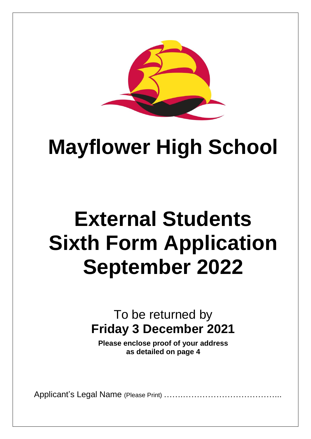

## **Mayflower High School**

# **External Students Sixth Form Application September 2022**

### To be returned by **Friday 3 December 2021**

**Please enclose proof of your address as detailed on page 4**

Applicant's Legal Name (Please Print) …….……………………………...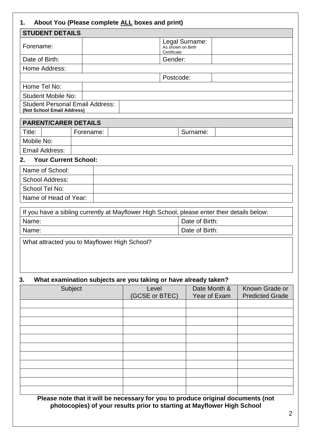### **1. About You (Please complete ALL boxes and print)**

| <b>STUDENT DETAILS</b>                                               |                                                    |
|----------------------------------------------------------------------|----------------------------------------------------|
| Forename:                                                            | Legal Surname:<br>As shown on Birth<br>Certificate |
| Date of Birth:                                                       | Gender:                                            |
| Home Address:                                                        |                                                    |
|                                                                      | Postcode:                                          |
| Home Tel No:                                                         |                                                    |
| <b>Student Mobile No:</b>                                            |                                                    |
| <b>Student Personal Email Address:</b><br>(Not School Email Address) |                                                    |

|            | <b>PARENT/CARER DETAILS</b> |           |  |          |  |
|------------|-----------------------------|-----------|--|----------|--|
| Title:     |                             | Forename: |  | Surname: |  |
| Mobile No: |                             |           |  |          |  |
|            | Email Address:              |           |  |          |  |

#### **2. Your Current School:**

| Name of School:       |  |
|-----------------------|--|
| School Address:       |  |
| School Tel No:        |  |
| Name of Head of Year: |  |

| If you have a sibling currently at Mayflower High School, please enter their details below: |  |  |  |
|---------------------------------------------------------------------------------------------|--|--|--|
| Date of Birth:<br>Name:                                                                     |  |  |  |
| Date of Birth:<br>Name:                                                                     |  |  |  |

What attracted you to Mayflower High School?

#### **3. What examination subjects are you taking or have already taken?**

| Subject | Level<br>(GCSE or BTEC) | Date Month &<br>Year of Exam | Known Grade or<br><b>Predicted Grade</b> |
|---------|-------------------------|------------------------------|------------------------------------------|
|         |                         |                              |                                          |
|         |                         |                              |                                          |
|         |                         |                              |                                          |
|         |                         |                              |                                          |
|         |                         |                              |                                          |
|         |                         |                              |                                          |
|         |                         |                              |                                          |
|         |                         |                              |                                          |
|         |                         |                              |                                          |
|         |                         |                              |                                          |
|         |                         |                              |                                          |

**Please note that it will be necessary for you to produce original documents (not photocopies) of your results prior to starting at Mayflower High School**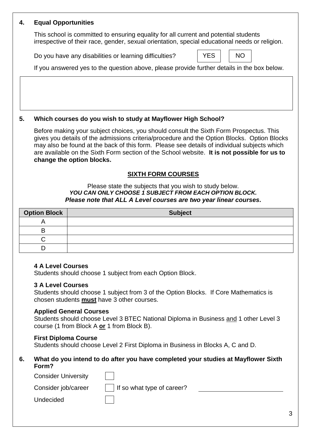#### **4. Equal Opportunities**

This school is committed to ensuring equality for all current and potential students irrespective of their race, gender, sexual orientation, special educational needs or religion.

Do you have any disabilities or learning difficulties?

If you answered yes to the question above, please provide further details in the box below.

#### **5. Which courses do you wish to study at Mayflower High School?**

Before making your subject choices, you should consult the Sixth Form Prospectus. This gives you details of the admissions criteria/procedure and the Option Blocks. Option Blocks may also be found at the back of this form. Please see details of individual subjects which are available on the Sixth Form section of the School website. **It is not possible for us to change the option blocks.**

#### **SIXTH FORM COURSES**

#### Please state the subjects that you wish to study below. *YOU CAN ONLY CHOOSE 1 SUBJECT FROM EACH OPTION BLOCK. Please note that ALL A Level courses are two year linear courses.*

| <b>Option Block</b> | <b>Subject</b> |
|---------------------|----------------|
|                     |                |
| Р                   |                |
|                     |                |
|                     |                |

#### **4 A Level Courses**

Students should choose 1 subject from each Option Block.

#### **3 A Level Courses**

Students should choose 1 subject from 3 of the Option Blocks. If Core Mathematics is chosen students **must** have 3 other courses.

#### **Applied General Courses**

Students should choose Level 3 BTEC National Diploma in Business and 1 other Level 3 course (1 from Block A **or** 1 from Block B).

#### **First Diploma Course**

Students should choose Level 2 First Diploma in Business in Blocks A, C and D.

#### **6. What do you intend to do after you have completed your studies at Mayflower Sixth Form?**

| <b>Consider University</b> |                            |
|----------------------------|----------------------------|
| Consider job/career        | If so what type of career? |
| Undecided                  |                            |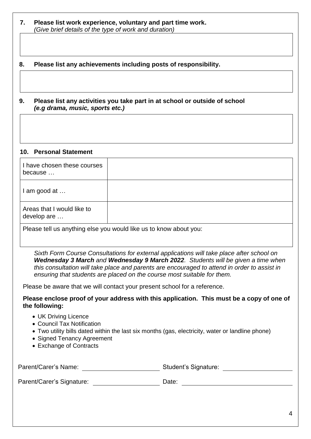#### **7. Please list work experience, voluntary and part time work.** *(Give brief details of the type of work and duration)*

#### **8. Please list any achievements including posts of responsibility.**

#### **9. Please list any activities you take part in at school or outside of school**  *(e.g drama, music, sports etc.)*

#### **10. Personal Statement**

| I have chosen these courses<br>because                            |  |  |
|-------------------------------------------------------------------|--|--|
| I am good at                                                      |  |  |
| Areas that I would like to<br>develop are                         |  |  |
| Please tell us anything else you would like us to know about you: |  |  |

*Sixth Form Course Consultations for external applications will take place after school on Wednesday 3 March and Wednesday 9 March 2022. Students will be given a time when this consultation will take place and parents are encouraged to attend in order to assist in ensuring that students are placed on the course most suitable for them.* 

Please be aware that we will contact your present school for a reference.

#### **Please enclose proof of your address with this application. This must be a copy of one of the following:**

- UK Driving Licence
- Council Tax Notification
- Two utility bills dated within the last six months (gas, electricity, water or landline phone)
- Signed Tenancy Agreement
- Exchange of Contracts

| Parent/Carer's Name: | <b>Student's Signature:</b> |  |
|----------------------|-----------------------------|--|
|                      |                             |  |

Parent/Carer's Signature: Date: